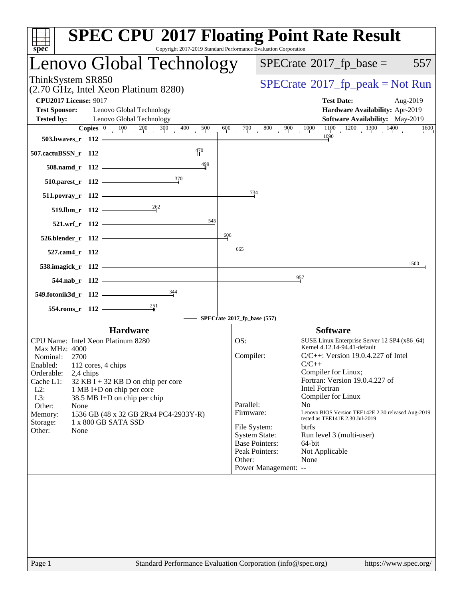| Lenovo Global Technology                                                                                                        |                             | $SPECTate$ <sup>®</sup> 2017_fp_base =                              | 557                                                  |
|---------------------------------------------------------------------------------------------------------------------------------|-----------------------------|---------------------------------------------------------------------|------------------------------------------------------|
| ThinkSystem SR850<br>(2.70 GHz, Intel Xeon Platinum 8280)                                                                       |                             |                                                                     | $SPECTate@2017fr peak = Not Run$                     |
| <b>CPU2017 License: 9017</b>                                                                                                    |                             | <b>Test Date:</b>                                                   | Aug-2019                                             |
| <b>Test Sponsor:</b><br>Lenovo Global Technology                                                                                |                             |                                                                     | Hardware Availability: Apr-2019                      |
| <b>Tested by:</b><br>Lenovo Global Technology<br><b>Copies</b> $\begin{bmatrix} 0 & 100 & 200 & 300 & 400 \end{bmatrix}$<br>500 | 600                         | $^{00}$ 700 800 900 1000                                            | Software Availability: May-2019<br>$\overline{1600}$ |
| 503.bwaves_r 112                                                                                                                |                             |                                                                     |                                                      |
| $\frac{470}{4}$<br>507.cactuBSSN_r 112                                                                                          |                             |                                                                     |                                                      |
| $\frac{499}{4}$<br>508.namd_r 112                                                                                               |                             |                                                                     |                                                      |
| $\frac{370}{2}$<br>510.parest_r 112                                                                                             |                             |                                                                     |                                                      |
| 511.povray_r 112                                                                                                                | $\frac{734}{4}$             |                                                                     |                                                      |
| $519. lbm_r 112$                                                                                                                |                             |                                                                     |                                                      |
| 545<br>521.wrf_r 112                                                                                                            |                             |                                                                     |                                                      |
| 526.blender_r 112                                                                                                               | 606                         |                                                                     |                                                      |
| 527.cam4_r 112                                                                                                                  | 665                         |                                                                     |                                                      |
| 538.imagick_r 112                                                                                                               |                             |                                                                     | 1500                                                 |
| 544.nab_r 112                                                                                                                   |                             | 957                                                                 |                                                      |
| $\frac{344}{5}$<br>549.fotonik3d_r 112                                                                                          |                             |                                                                     |                                                      |
| 554.roms_r 112                                                                                                                  |                             |                                                                     |                                                      |
|                                                                                                                                 | SPECrate®2017_fp_base (557) |                                                                     |                                                      |
| <b>Hardware</b><br>CPU Name: Intel Xeon Platinum 8280                                                                           | OS:                         | <b>Software</b>                                                     | SUSE Linux Enterprise Server 12 SP4 (x86_64)         |
| <b>Max MHz: 4000</b>                                                                                                            |                             | Kernel 4.12.14-94.41-default                                        |                                                      |
| Nominal:<br>2700<br>Enabled:<br>112 cores, 4 chips                                                                              | Compiler:                   | $C/C++$                                                             | $C/C++$ : Version 19.0.4.227 of Intel                |
| Orderable:<br>2,4 chips                                                                                                         |                             | Compiler for Linux;                                                 | Fortran: Version 19.0.4.227 of                       |
| Cache L1:<br>$32$ KB I + 32 KB D on chip per core<br>$L2$ :<br>1 MB I+D on chip per core                                        |                             | <b>Intel Fortran</b>                                                |                                                      |
| L3:<br>38.5 MB I+D on chip per chip                                                                                             | Parallel:                   | Compiler for Linux<br>N <sub>0</sub>                                |                                                      |
| Other:<br>None<br>Memory:<br>1536 GB (48 x 32 GB 2Rx4 PC4-2933Y-R)                                                              | Firmware:                   |                                                                     | Lenovo BIOS Version TEE142E 2.30 released Aug-2019   |
| 1 x 800 GB SATA SSD<br>Storage:<br>None                                                                                         | File System:                | tested as TEE141E 2.30 Jul-2019<br><b>btrfs</b>                     |                                                      |
| Other:                                                                                                                          |                             | <b>System State:</b><br>Run level 3 (multi-user)                    |                                                      |
|                                                                                                                                 |                             | <b>Base Pointers:</b><br>64-bit<br>Peak Pointers:<br>Not Applicable |                                                      |
|                                                                                                                                 | Other:                      | None                                                                |                                                      |
|                                                                                                                                 |                             | Power Management: --                                                |                                                      |
|                                                                                                                                 |                             |                                                                     |                                                      |
|                                                                                                                                 |                             |                                                                     |                                                      |
|                                                                                                                                 |                             |                                                                     |                                                      |
|                                                                                                                                 |                             |                                                                     |                                                      |
|                                                                                                                                 |                             |                                                                     |                                                      |
|                                                                                                                                 |                             |                                                                     |                                                      |
|                                                                                                                                 |                             |                                                                     |                                                      |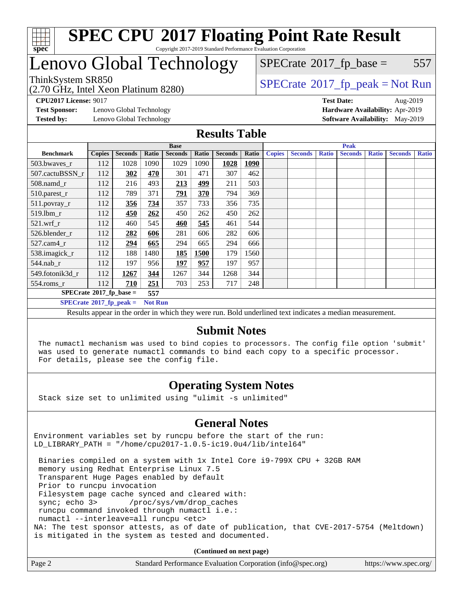

### **[SPEC CPU](http://www.spec.org/auto/cpu2017/Docs/result-fields.html#SPECCPU2017FloatingPointRateResult)[2017 Floating Point Rate Result](http://www.spec.org/auto/cpu2017/Docs/result-fields.html#SPECCPU2017FloatingPointRateResult)** Copyright 2017-2019 Standard Performance Evaluation Corporation

# Lenovo Global Technology

(2.70 GHz, Intel Xeon Platinum 8280)

 $SPECTate@2017_fp\_peak = Not Run$ 

 $SPECTate$ <sup>®</sup>[2017\\_fp\\_base =](http://www.spec.org/auto/cpu2017/Docs/result-fields.html#SPECrate2017fpbase) 557

**[Test Sponsor:](http://www.spec.org/auto/cpu2017/Docs/result-fields.html#TestSponsor)** Lenovo Global Technology **[Hardware Availability:](http://www.spec.org/auto/cpu2017/Docs/result-fields.html#HardwareAvailability)** Apr-2019

**[CPU2017 License:](http://www.spec.org/auto/cpu2017/Docs/result-fields.html#CPU2017License)** 9017 **[Test Date:](http://www.spec.org/auto/cpu2017/Docs/result-fields.html#TestDate)** Aug-2019 **[Tested by:](http://www.spec.org/auto/cpu2017/Docs/result-fields.html#Testedby)** Lenovo Global Technology **[Software Availability:](http://www.spec.org/auto/cpu2017/Docs/result-fields.html#SoftwareAvailability)** May-2019

### **[Results Table](http://www.spec.org/auto/cpu2017/Docs/result-fields.html#ResultsTable)**

| <b>Base</b>                             |                                                    |                |       | <b>Peak</b>    |       |                |             |               |                |              |                |              |                |              |
|-----------------------------------------|----------------------------------------------------|----------------|-------|----------------|-------|----------------|-------------|---------------|----------------|--------------|----------------|--------------|----------------|--------------|
| <b>Benchmark</b>                        | <b>Copies</b>                                      | <b>Seconds</b> | Ratio | <b>Seconds</b> | Ratio | <b>Seconds</b> | Ratio       | <b>Copies</b> | <b>Seconds</b> | <b>Ratio</b> | <b>Seconds</b> | <b>Ratio</b> | <b>Seconds</b> | <b>Ratio</b> |
| 503.bwaves_r                            | 112                                                | 1028           | 1090  | 1029           | 1090  | 1028           | <b>1090</b> |               |                |              |                |              |                |              |
| 507.cactuBSSN r                         | 112                                                | 302            | 470   | 301            | 471   | 307            | 462         |               |                |              |                |              |                |              |
| $508$ .namd $r$                         | 112                                                | 216            | 493   | 213            | 499   | 211            | 503         |               |                |              |                |              |                |              |
| 510.parest_r                            | 112                                                | 789            | 371   | 791            | 370   | 794            | 369         |               |                |              |                |              |                |              |
| 511.povray_r                            | 112                                                | 356            | 734   | 357            | 733   | 356            | 735         |               |                |              |                |              |                |              |
| $519.$ lbm_r                            | 112                                                | 450            | 262   | 450            | 262   | 450            | 262         |               |                |              |                |              |                |              |
| $521$ .wrf r                            | 112                                                | 460            | 545   | 460            | 545   | 461            | 544         |               |                |              |                |              |                |              |
| 526.blender r                           | 112                                                | 282            | 606   | 281            | 606   | 282            | 606         |               |                |              |                |              |                |              |
| $527$ .cam $4r$                         | 112                                                | 294            | 665   | 294            | 665   | 294            | 666         |               |                |              |                |              |                |              |
| 538.imagick_r                           | 112                                                | 188            | 1480  | 185            | 1500  | 179            | 1560        |               |                |              |                |              |                |              |
| 544.nab r                               | 112                                                | 197            | 956   | 197            | 957   | 197            | 957         |               |                |              |                |              |                |              |
| 549.fotonik3d r                         | 112                                                | 1267           | 344   | 1267           | 344   | 1268           | 344         |               |                |              |                |              |                |              |
| $554$ .roms_r                           | 112                                                | 710            | 251   | 703            | 253   | 717            | 248         |               |                |              |                |              |                |              |
| $SPECrate^{\circ}2017$ fp base =<br>557 |                                                    |                |       |                |       |                |             |               |                |              |                |              |                |              |
|                                         | $SPECrate^{\circ}2017$ fp peak =<br><b>Not Run</b> |                |       |                |       |                |             |               |                |              |                |              |                |              |

Results appear in the [order in which they were run](http://www.spec.org/auto/cpu2017/Docs/result-fields.html#RunOrder). Bold underlined text [indicates a median measurement.](http://www.spec.org/auto/cpu2017/Docs/result-fields.html#Median)

### **[Submit Notes](http://www.spec.org/auto/cpu2017/Docs/result-fields.html#SubmitNotes)**

 The numactl mechanism was used to bind copies to processors. The config file option 'submit' was used to generate numactl commands to bind each copy to a specific processor. For details, please see the config file.

### **[Operating System Notes](http://www.spec.org/auto/cpu2017/Docs/result-fields.html#OperatingSystemNotes)**

Stack size set to unlimited using "ulimit -s unlimited"

### **[General Notes](http://www.spec.org/auto/cpu2017/Docs/result-fields.html#GeneralNotes)**

Environment variables set by runcpu before the start of the run: LD\_LIBRARY\_PATH = "/home/cpu2017-1.0.5-ic19.0u4/lib/intel64"

 Binaries compiled on a system with 1x Intel Core i9-799X CPU + 32GB RAM memory using Redhat Enterprise Linux 7.5 Transparent Huge Pages enabled by default Prior to runcpu invocation Filesystem page cache synced and cleared with: sync; echo 3> /proc/sys/vm/drop\_caches runcpu command invoked through numactl i.e.: numactl --interleave=all runcpu <etc> NA: The test sponsor attests, as of date of publication, that CVE-2017-5754 (Meltdown) is mitigated in the system as tested and documented.

**(Continued on next page)**

| Page 2<br>Standard Performance Evaluation Corporation (info@spec.org)<br>https://www.spec.org/ |
|------------------------------------------------------------------------------------------------|
|------------------------------------------------------------------------------------------------|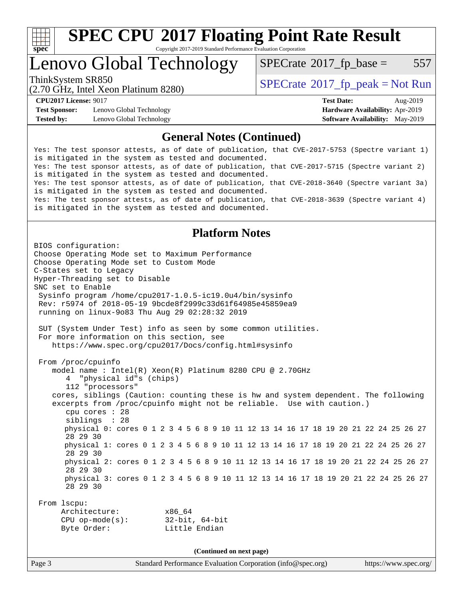

Copyright 2017-2019 Standard Performance Evaluation Corporation

## Lenovo Global Technology

 $SPECTate$ <sup>®</sup>[2017\\_fp\\_base =](http://www.spec.org/auto/cpu2017/Docs/result-fields.html#SPECrate2017fpbase) 557

(2.70 GHz, Intel Xeon Platinum 8280)

**[Test Sponsor:](http://www.spec.org/auto/cpu2017/Docs/result-fields.html#TestSponsor)** Lenovo Global Technology **[Hardware Availability:](http://www.spec.org/auto/cpu2017/Docs/result-fields.html#HardwareAvailability)** Apr-2019 **[Tested by:](http://www.spec.org/auto/cpu2017/Docs/result-fields.html#Testedby)** Lenovo Global Technology **[Software Availability:](http://www.spec.org/auto/cpu2017/Docs/result-fields.html#SoftwareAvailability)** May-2019

ThinkSystem SR850<br>  $SPECTI<sub>2</sub> 70 CI<sub>2</sub> 12. Intel Y<sub>2</sub> 8280$ <br>  $SPECTI<sub>2</sub> 70 CI<sub>2</sub> 17. Then Y<sub>2</sub> 8280$ 

**[CPU2017 License:](http://www.spec.org/auto/cpu2017/Docs/result-fields.html#CPU2017License)** 9017 **[Test Date:](http://www.spec.org/auto/cpu2017/Docs/result-fields.html#TestDate)** Aug-2019

### **[General Notes \(Continued\)](http://www.spec.org/auto/cpu2017/Docs/result-fields.html#GeneralNotes)**

Yes: The test sponsor attests, as of date of publication, that CVE-2017-5753 (Spectre variant 1) is mitigated in the system as tested and documented. Yes: The test sponsor attests, as of date of publication, that CVE-2017-5715 (Spectre variant 2) is mitigated in the system as tested and documented. Yes: The test sponsor attests, as of date of publication, that CVE-2018-3640 (Spectre variant 3a) is mitigated in the system as tested and documented. Yes: The test sponsor attests, as of date of publication, that CVE-2018-3639 (Spectre variant 4) is mitigated in the system as tested and documented.

### **[Platform Notes](http://www.spec.org/auto/cpu2017/Docs/result-fields.html#PlatformNotes)**

Page 3 Standard Performance Evaluation Corporation [\(info@spec.org\)](mailto:info@spec.org) <https://www.spec.org/> BIOS configuration: Choose Operating Mode set to Maximum Performance Choose Operating Mode set to Custom Mode C-States set to Legacy Hyper-Threading set to Disable SNC set to Enable Sysinfo program /home/cpu2017-1.0.5-ic19.0u4/bin/sysinfo Rev: r5974 of 2018-05-19 9bcde8f2999c33d61f64985e45859ea9 running on linux-9o83 Thu Aug 29 02:28:32 2019 SUT (System Under Test) info as seen by some common utilities. For more information on this section, see <https://www.spec.org/cpu2017/Docs/config.html#sysinfo> From /proc/cpuinfo model name : Intel(R) Xeon(R) Platinum 8280 CPU @ 2.70GHz 4 "physical id"s (chips) 112 "processors" cores, siblings (Caution: counting these is hw and system dependent. The following excerpts from /proc/cpuinfo might not be reliable. Use with caution.) cpu cores : 28 siblings : 28 physical 0: cores 0 1 2 3 4 5 6 8 9 10 11 12 13 14 16 17 18 19 20 21 22 24 25 26 27 28 29 30 physical 1: cores 0 1 2 3 4 5 6 8 9 10 11 12 13 14 16 17 18 19 20 21 22 24 25 26 27 28 29 30 physical 2: cores 0 1 2 3 4 5 6 8 9 10 11 12 13 14 16 17 18 19 20 21 22 24 25 26 27 28 29 30 physical 3: cores 0 1 2 3 4 5 6 8 9 10 11 12 13 14 16 17 18 19 20 21 22 24 25 26 27 28 29 30 From lscpu: Architecture: x86\_64 CPU op-mode(s): 32-bit, 64-bit Byte Order: Little Endian **(Continued on next page)**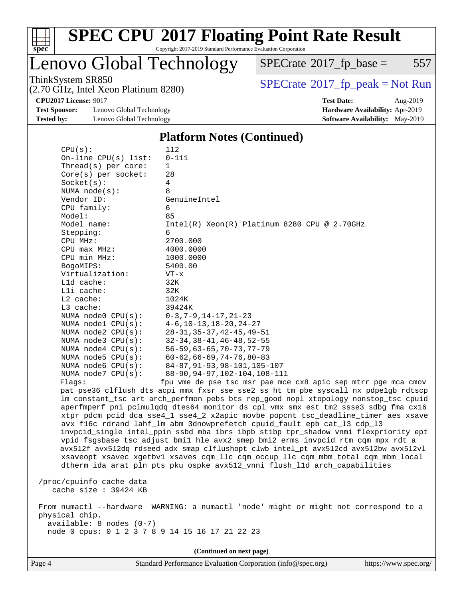

Copyright 2017-2019 Standard Performance Evaluation Corporation

Lenovo Global Technology

 $SPECTate@2017_fp\_base = 557$ 

(2.70 GHz, Intel Xeon Platinum 8280)

ThinkSystem SR850<br>(2.70 GHz, Intel Xeon Platinum 8280) [SPECrate](http://www.spec.org/auto/cpu2017/Docs/result-fields.html#SPECrate2017fppeak)®[2017\\_fp\\_peak = N](http://www.spec.org/auto/cpu2017/Docs/result-fields.html#SPECrate2017fppeak)ot Run

**[Test Sponsor:](http://www.spec.org/auto/cpu2017/Docs/result-fields.html#TestSponsor)** Lenovo Global Technology **[Hardware Availability:](http://www.spec.org/auto/cpu2017/Docs/result-fields.html#HardwareAvailability)** Apr-2019 **[Tested by:](http://www.spec.org/auto/cpu2017/Docs/result-fields.html#Testedby)** Lenovo Global Technology **[Software Availability:](http://www.spec.org/auto/cpu2017/Docs/result-fields.html#SoftwareAvailability)** May-2019

**[CPU2017 License:](http://www.spec.org/auto/cpu2017/Docs/result-fields.html#CPU2017License)** 9017 **[Test Date:](http://www.spec.org/auto/cpu2017/Docs/result-fields.html#TestDate)** Aug-2019

#### **[Platform Notes \(Continued\)](http://www.spec.org/auto/cpu2017/Docs/result-fields.html#PlatformNotes)**

| CPU(s):                                         | 112                                                                                  |
|-------------------------------------------------|--------------------------------------------------------------------------------------|
| On-line $CPU(s)$ list:                          | $0 - 111$                                                                            |
| Thread(s) per core:                             | $\mathbf{1}$                                                                         |
| $Core(s)$ per socket:                           | 28                                                                                   |
| Socket(s):                                      | 4                                                                                    |
| NUMA $node(s)$ :                                | 8                                                                                    |
| Vendor ID:                                      | GenuineIntel                                                                         |
| CPU family:                                     | 6                                                                                    |
| Model:                                          | 85                                                                                   |
| Model name:                                     | Intel(R) Xeon(R) Platinum 8280 CPU @ 2.70GHz                                         |
| Stepping:                                       | 6                                                                                    |
| CPU MHz:                                        | 2700.000                                                                             |
| CPU max MHz:                                    | 4000.0000                                                                            |
| CPU min MHz:                                    | 1000.0000                                                                            |
| BogoMIPS:                                       | 5400.00                                                                              |
| Virtualization:                                 | $VT - x$                                                                             |
| $L1d$ cache:                                    | 32K                                                                                  |
|                                                 |                                                                                      |
| Lli cache:                                      | 32K                                                                                  |
| $L2$ cache:                                     | 1024K                                                                                |
| L3 cache:                                       | 39424K                                                                               |
| NUMA node0 CPU(s):                              | $0-3, 7-9, 14-17, 21-23$                                                             |
| NUMA nodel CPU(s):                              | $4-6$ , 10-13, 18-20, 24-27                                                          |
| NUMA $node2$ $CPU(s):$                          | $28 - 31, 35 - 37, 42 - 45, 49 - 51$                                                 |
| NUMA $node3$ $CPU(s)$ :                         | $32 - 34, 38 - 41, 46 - 48, 52 - 55$                                                 |
| NUMA $node4$ $CPU(s):$                          | $56 - 59, 63 - 65, 70 - 73, 77 - 79$                                                 |
| NUMA $node5$ $CPU(s)$ :                         | $60 - 62, 66 - 69, 74 - 76, 80 - 83$                                                 |
| NUMA node6 $CPU(s):$                            | $84 - 87, 91 - 93, 98 - 101, 105 - 107$                                              |
| NUMA $node7$ CPU $(s)$ :                        | 88-90, 94-97, 102-104, 108-111                                                       |
| Flagg:                                          | fpu vme de pse tsc msr pae mce cx8 apic sep mtrr pqe mca cmov                        |
|                                                 | pat pse36 clflush dts acpi mmx fxsr sse sse2 ss ht tm pbe syscall nx pdpelgb rdtscp  |
|                                                 | lm constant_tsc art arch_perfmon pebs bts rep_good nopl xtopology nonstop_tsc cpuid  |
|                                                 | aperfmperf pni pclmulqdq dtes64 monitor ds_cpl vmx smx est tm2 ssse3 sdbg fma cx16   |
|                                                 | xtpr pdcm pcid dca sse4_1 sse4_2 x2apic movbe popcnt tsc_deadline_timer aes xsave    |
|                                                 | avx f16c rdrand lahf_lm abm 3dnowprefetch cpuid_fault epb cat_13 cdp_13              |
|                                                 | invpcid_single intel_ppin ssbd mba ibrs ibpb stibp tpr_shadow vnmi flexpriority ept  |
|                                                 | vpid fsgsbase tsc_adjust bmil hle avx2 smep bmi2 erms invpcid rtm cqm mpx rdt_a      |
|                                                 | avx512f avx512dq rdseed adx smap clflushopt clwb intel_pt avx512cd avx512bw avx512vl |
|                                                 | xsaveopt xsavec xgetbvl xsaves cqm_llc cqm_occup_llc cqm_mbm_total cqm_mbm_local     |
|                                                 | dtherm ida arat pln pts pku ospke avx512_vnni flush_lld arch_capabilities            |
|                                                 |                                                                                      |
|                                                 |                                                                                      |
| /proc/cpuinfo cache data                        |                                                                                      |
| cache size : 39424 KB                           |                                                                                      |
|                                                 |                                                                                      |
|                                                 | From numactl --hardware WARNING: a numactl 'node' might or might not correspond to a |
| physical chip.                                  |                                                                                      |
| $available: 8 nodes (0-7)$                      |                                                                                      |
| node 0 cpus: 0 1 2 3 7 8 9 14 15 16 17 21 22 23 |                                                                                      |

**(Continued on next page)**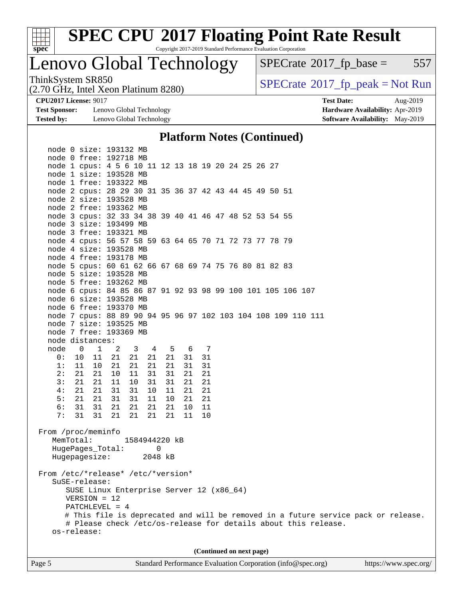

Copyright 2017-2019 Standard Performance Evaluation Corporation

Lenovo Global Technology

 $SPECTate$ <sup>®</sup>[2017\\_fp\\_base =](http://www.spec.org/auto/cpu2017/Docs/result-fields.html#SPECrate2017fpbase) 557

(2.70 GHz, Intel Xeon Platinum 8280)

ThinkSystem SR850<br>(2.70 GHz, Intel Xeon Platinum 8280)  $\vert$  [SPECrate](http://www.spec.org/auto/cpu2017/Docs/result-fields.html#SPECrate2017fppeak)®[2017\\_fp\\_peak = N](http://www.spec.org/auto/cpu2017/Docs/result-fields.html#SPECrate2017fppeak)ot Run

**[Test Sponsor:](http://www.spec.org/auto/cpu2017/Docs/result-fields.html#TestSponsor)** Lenovo Global Technology **[Hardware Availability:](http://www.spec.org/auto/cpu2017/Docs/result-fields.html#HardwareAvailability)** Apr-2019 **[Tested by:](http://www.spec.org/auto/cpu2017/Docs/result-fields.html#Testedby)** Lenovo Global Technology **[Software Availability:](http://www.spec.org/auto/cpu2017/Docs/result-fields.html#SoftwareAvailability)** May-2019

**[CPU2017 License:](http://www.spec.org/auto/cpu2017/Docs/result-fields.html#CPU2017License)** 9017 **[Test Date:](http://www.spec.org/auto/cpu2017/Docs/result-fields.html#TestDate)** Aug-2019

### **[Platform Notes \(Continued\)](http://www.spec.org/auto/cpu2017/Docs/result-fields.html#PlatformNotes)**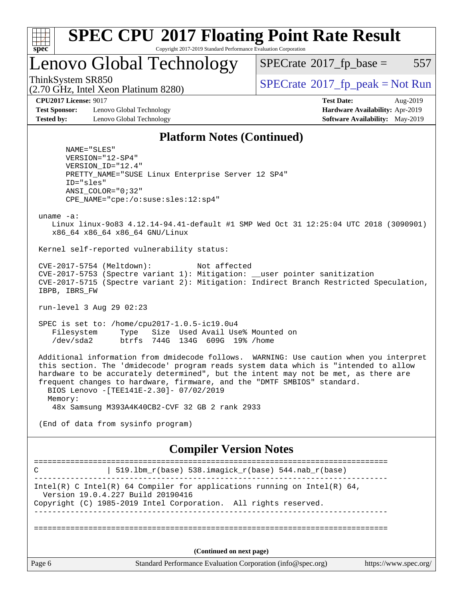

Copyright 2017-2019 Standard Performance Evaluation Corporation

Lenovo Global Technology

 $SPECTate$ <sup>®</sup>[2017\\_fp\\_base =](http://www.spec.org/auto/cpu2017/Docs/result-fields.html#SPECrate2017fpbase) 557

(2.70 GHz, Intel Xeon Platinum 8280)

ThinkSystem SR850<br>(2.70 GHz, Intel Xeon Platinum 8280)  $\left|$  [SPECrate](http://www.spec.org/auto/cpu2017/Docs/result-fields.html#SPECrate2017fppeak)®[2017\\_fp\\_peak = N](http://www.spec.org/auto/cpu2017/Docs/result-fields.html#SPECrate2017fppeak)ot Run

**[Test Sponsor:](http://www.spec.org/auto/cpu2017/Docs/result-fields.html#TestSponsor)** Lenovo Global Technology **[Hardware Availability:](http://www.spec.org/auto/cpu2017/Docs/result-fields.html#HardwareAvailability)** Apr-2019 **[Tested by:](http://www.spec.org/auto/cpu2017/Docs/result-fields.html#Testedby)** Lenovo Global Technology **[Software Availability:](http://www.spec.org/auto/cpu2017/Docs/result-fields.html#SoftwareAvailability)** May-2019

**[CPU2017 License:](http://www.spec.org/auto/cpu2017/Docs/result-fields.html#CPU2017License)** 9017 **[Test Date:](http://www.spec.org/auto/cpu2017/Docs/result-fields.html#TestDate)** Aug-2019

### **[Platform Notes \(Continued\)](http://www.spec.org/auto/cpu2017/Docs/result-fields.html#PlatformNotes)**

 NAME="SLES" VERSION="12-SP4" VERSION\_ID="12.4" PRETTY\_NAME="SUSE Linux Enterprise Server 12 SP4" ID="sles" ANSI\_COLOR="0;32" CPE\_NAME="cpe:/o:suse:sles:12:sp4"

uname -a:

 Linux linux-9o83 4.12.14-94.41-default #1 SMP Wed Oct 31 12:25:04 UTC 2018 (3090901) x86\_64 x86\_64 x86\_64 GNU/Linux

Kernel self-reported vulnerability status:

 CVE-2017-5754 (Meltdown): Not affected CVE-2017-5753 (Spectre variant 1): Mitigation: \_\_user pointer sanitization CVE-2017-5715 (Spectre variant 2): Mitigation: Indirect Branch Restricted Speculation, IBPB, IBRS\_FW

run-level 3 Aug 29 02:23

 SPEC is set to: /home/cpu2017-1.0.5-ic19.0u4 Filesystem Type Size Used Avail Use% Mounted on /dev/sda2 btrfs 744G 134G 609G 19% /home

 Additional information from dmidecode follows. WARNING: Use caution when you interpret this section. The 'dmidecode' program reads system data which is "intended to allow hardware to be accurately determined", but the intent may not be met, as there are frequent changes to hardware, firmware, and the "DMTF SMBIOS" standard. BIOS Lenovo -[TEE141E-2.30]- 07/02/2019 Memory: 48x Samsung M393A4K40CB2-CVF 32 GB 2 rank 2933

(End of data from sysinfo program)

### **[Compiler Version Notes](http://www.spec.org/auto/cpu2017/Docs/result-fields.html#CompilerVersionNotes)**

| C      | 519.1bm_r(base) 538.imagick_r(base) 544.nab_r(base)                                                                                                                              |                       |
|--------|----------------------------------------------------------------------------------------------------------------------------------------------------------------------------------|-----------------------|
|        | Intel(R) C Intel(R) 64 Compiler for applications running on Intel(R) 64,<br>Version 19.0.4.227 Build 20190416<br>Copyright (C) 1985-2019 Intel Corporation. All rights reserved. |                       |
|        | (Continued on next page)                                                                                                                                                         |                       |
| Page 6 | Standard Performance Evaluation Corporation (info@spec.org)                                                                                                                      | https://www.spec.org/ |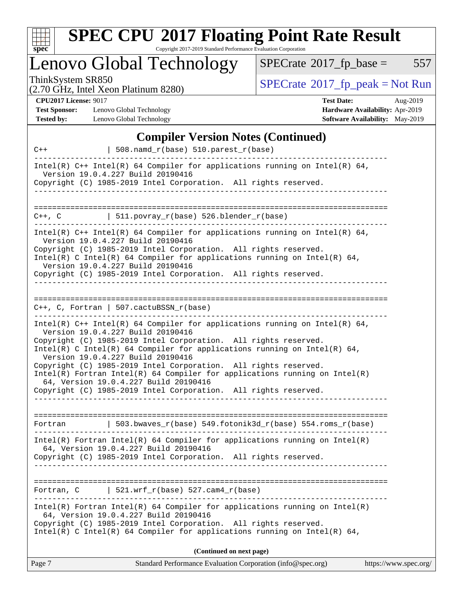

Copyright 2017-2019 Standard Performance Evaluation Corporation

# Lenovo Global Technology

 $SPECTate@2017_fp\_base = 557$ 

(2.70 GHz, Intel Xeon Platinum 8280)

ThinkSystem SR850<br>  $(2.70 \text{ GHz})$  Intel Xeon Platinum 8280)

**[CPU2017 License:](http://www.spec.org/auto/cpu2017/Docs/result-fields.html#CPU2017License)** 9017

**[Test Sponsor:](http://www.spec.org/auto/cpu2017/Docs/result-fields.html#TestSponsor)** Lenovo Global Technology **[Tested by:](http://www.spec.org/auto/cpu2017/Docs/result-fields.html#Testedby)** Lenovo Global Technology

| <b>Test Date:</b> |                                 | Aug-2019 |
|-------------------|---------------------------------|----------|
|                   | Hardware Availability: Apr-2019 |          |
|                   | Software Availability: May-2019 |          |

### **[Compiler Version Notes \(Continued\)](http://www.spec.org/auto/cpu2017/Docs/result-fields.html#CompilerVersionNotes)**

| $C++$      | 508.namd_r(base) 510.parest_r(base)                                                                                                                                                                                                                                                                                                                                                                                                                                                                                                                                  |
|------------|----------------------------------------------------------------------------------------------------------------------------------------------------------------------------------------------------------------------------------------------------------------------------------------------------------------------------------------------------------------------------------------------------------------------------------------------------------------------------------------------------------------------------------------------------------------------|
|            | Intel(R) $C++$ Intel(R) 64 Compiler for applications running on Intel(R) 64,<br>Version 19.0.4.227 Build 20190416<br>Copyright (C) 1985-2019 Intel Corporation. All rights reserved.                                                                                                                                                                                                                                                                                                                                                                                 |
|            |                                                                                                                                                                                                                                                                                                                                                                                                                                                                                                                                                                      |
| C++, C     | $  511.povray_r(base) 526.blender_r(base)$                                                                                                                                                                                                                                                                                                                                                                                                                                                                                                                           |
|            | Intel(R) $C++$ Intel(R) 64 Compiler for applications running on Intel(R) 64,<br>Version 19.0.4.227 Build 20190416<br>Copyright (C) 1985-2019 Intel Corporation. All rights reserved.<br>Intel(R) C Intel(R) 64 Compiler for applications running on Intel(R) 64,<br>Version 19.0.4.227 Build 20190416<br>Copyright (C) 1985-2019 Intel Corporation. All rights reserved.                                                                                                                                                                                             |
|            | $C_{++}$ , C, Fortran   507.cactuBSSN_r(base)                                                                                                                                                                                                                                                                                                                                                                                                                                                                                                                        |
|            | Intel(R) $C++$ Intel(R) 64 Compiler for applications running on Intel(R) 64,<br>Version 19.0.4.227 Build 20190416<br>Copyright (C) 1985-2019 Intel Corporation. All rights reserved.<br>Intel(R) C Intel(R) 64 Compiler for applications running on Intel(R) 64,<br>Version 19.0.4.227 Build 20190416<br>Copyright (C) 1985-2019 Intel Corporation. All rights reserved.<br>$Intel(R)$ Fortran Intel(R) 64 Compiler for applications running on Intel(R)<br>64, Version 19.0.4.227 Build 20190416<br>Copyright (C) 1985-2019 Intel Corporation. All rights reserved. |
| Fortran    | $\vert$ 503.bwaves_r(base) 549.fotonik3d_r(base) 554.roms_r(base)                                                                                                                                                                                                                                                                                                                                                                                                                                                                                                    |
|            | $Intel(R)$ Fortran Intel(R) 64 Compiler for applications running on Intel(R)<br>64, Version 19.0.4.227 Build 20190416<br>Copyright (C) 1985-2019 Intel Corporation. All rights reserved.                                                                                                                                                                                                                                                                                                                                                                             |
| Fortran, C | $521.wrf_r(base) 527.cam4_r(base)$                                                                                                                                                                                                                                                                                                                                                                                                                                                                                                                                   |
|            | $Intel(R)$ Fortran Intel(R) 64 Compiler for applications running on Intel(R)<br>64, Version 19.0.4.227 Build 20190416<br>Copyright (C) 1985-2019 Intel Corporation. All rights reserved.<br>Intel(R) C Intel(R) 64 Compiler for applications running on Intel(R) 64,                                                                                                                                                                                                                                                                                                 |
|            | (Continued on next page)                                                                                                                                                                                                                                                                                                                                                                                                                                                                                                                                             |
| Page 7     | Standard Performance Evaluation Corporation (info@spec.org)<br>https://www.spec.org/                                                                                                                                                                                                                                                                                                                                                                                                                                                                                 |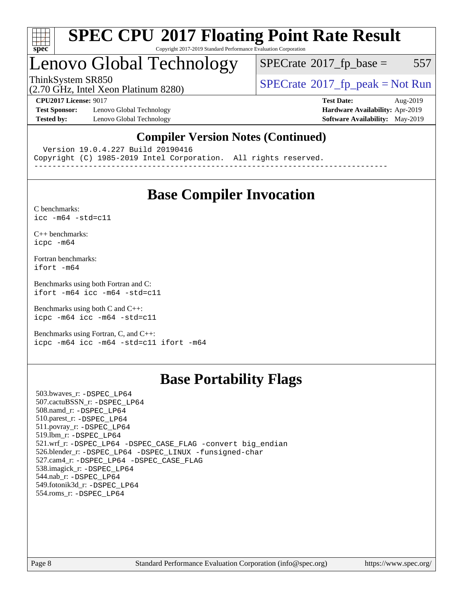

#### **[SPEC CPU](http://www.spec.org/auto/cpu2017/Docs/result-fields.html#SPECCPU2017FloatingPointRateResult)[2017 Floating Point Rate Result](http://www.spec.org/auto/cpu2017/Docs/result-fields.html#SPECCPU2017FloatingPointRateResult)** Copyright 2017-2019 Standard Performance Evaluation Corporation

## Lenovo Global Technology

 $SPECTate$ <sup>®</sup>[2017\\_fp\\_base =](http://www.spec.org/auto/cpu2017/Docs/result-fields.html#SPECrate2017fpbase) 557

(2.70 GHz, Intel Xeon Platinum 8280)

ThinkSystem SR850<br>  $(2.70 \text{ GHz}_{\text{1.1}})$  [SPECrate](http://www.spec.org/auto/cpu2017/Docs/result-fields.html#SPECrate2017fppeak)®[2017\\_fp\\_peak = N](http://www.spec.org/auto/cpu2017/Docs/result-fields.html#SPECrate2017fppeak)ot Run

**[Test Sponsor:](http://www.spec.org/auto/cpu2017/Docs/result-fields.html#TestSponsor)** Lenovo Global Technology **[Hardware Availability:](http://www.spec.org/auto/cpu2017/Docs/result-fields.html#HardwareAvailability)** Apr-2019 **[Tested by:](http://www.spec.org/auto/cpu2017/Docs/result-fields.html#Testedby)** Lenovo Global Technology **[Software Availability:](http://www.spec.org/auto/cpu2017/Docs/result-fields.html#SoftwareAvailability)** May-2019

**[CPU2017 License:](http://www.spec.org/auto/cpu2017/Docs/result-fields.html#CPU2017License)** 9017 **[Test Date:](http://www.spec.org/auto/cpu2017/Docs/result-fields.html#TestDate)** Aug-2019

### **[Compiler Version Notes \(Continued\)](http://www.spec.org/auto/cpu2017/Docs/result-fields.html#CompilerVersionNotes)**

Version 19.0.4.227 Build 20190416

Copyright (C) 1985-2019 Intel Corporation. All rights reserved.

------------------------------------------------------------------------------

### **[Base Compiler Invocation](http://www.spec.org/auto/cpu2017/Docs/result-fields.html#BaseCompilerInvocation)**

[C benchmarks](http://www.spec.org/auto/cpu2017/Docs/result-fields.html#Cbenchmarks):  $icc - m64 - std = c11$ 

[C++ benchmarks:](http://www.spec.org/auto/cpu2017/Docs/result-fields.html#CXXbenchmarks) [icpc -m64](http://www.spec.org/cpu2017/results/res2019q3/cpu2017-20190903-17652.flags.html#user_CXXbase_intel_icpc_64bit_4ecb2543ae3f1412ef961e0650ca070fec7b7afdcd6ed48761b84423119d1bf6bdf5cad15b44d48e7256388bc77273b966e5eb805aefd121eb22e9299b2ec9d9)

[Fortran benchmarks](http://www.spec.org/auto/cpu2017/Docs/result-fields.html#Fortranbenchmarks): [ifort -m64](http://www.spec.org/cpu2017/results/res2019q3/cpu2017-20190903-17652.flags.html#user_FCbase_intel_ifort_64bit_24f2bb282fbaeffd6157abe4f878425411749daecae9a33200eee2bee2fe76f3b89351d69a8130dd5949958ce389cf37ff59a95e7a40d588e8d3a57e0c3fd751)

[Benchmarks using both Fortran and C](http://www.spec.org/auto/cpu2017/Docs/result-fields.html#BenchmarksusingbothFortranandC): [ifort -m64](http://www.spec.org/cpu2017/results/res2019q3/cpu2017-20190903-17652.flags.html#user_CC_FCbase_intel_ifort_64bit_24f2bb282fbaeffd6157abe4f878425411749daecae9a33200eee2bee2fe76f3b89351d69a8130dd5949958ce389cf37ff59a95e7a40d588e8d3a57e0c3fd751) [icc -m64 -std=c11](http://www.spec.org/cpu2017/results/res2019q3/cpu2017-20190903-17652.flags.html#user_CC_FCbase_intel_icc_64bit_c11_33ee0cdaae7deeeab2a9725423ba97205ce30f63b9926c2519791662299b76a0318f32ddfffdc46587804de3178b4f9328c46fa7c2b0cd779d7a61945c91cd35)

[Benchmarks using both C and C++](http://www.spec.org/auto/cpu2017/Docs/result-fields.html#BenchmarksusingbothCandCXX): [icpc -m64](http://www.spec.org/cpu2017/results/res2019q3/cpu2017-20190903-17652.flags.html#user_CC_CXXbase_intel_icpc_64bit_4ecb2543ae3f1412ef961e0650ca070fec7b7afdcd6ed48761b84423119d1bf6bdf5cad15b44d48e7256388bc77273b966e5eb805aefd121eb22e9299b2ec9d9) [icc -m64 -std=c11](http://www.spec.org/cpu2017/results/res2019q3/cpu2017-20190903-17652.flags.html#user_CC_CXXbase_intel_icc_64bit_c11_33ee0cdaae7deeeab2a9725423ba97205ce30f63b9926c2519791662299b76a0318f32ddfffdc46587804de3178b4f9328c46fa7c2b0cd779d7a61945c91cd35)

[Benchmarks using Fortran, C, and C++:](http://www.spec.org/auto/cpu2017/Docs/result-fields.html#BenchmarksusingFortranCandCXX) [icpc -m64](http://www.spec.org/cpu2017/results/res2019q3/cpu2017-20190903-17652.flags.html#user_CC_CXX_FCbase_intel_icpc_64bit_4ecb2543ae3f1412ef961e0650ca070fec7b7afdcd6ed48761b84423119d1bf6bdf5cad15b44d48e7256388bc77273b966e5eb805aefd121eb22e9299b2ec9d9) [icc -m64 -std=c11](http://www.spec.org/cpu2017/results/res2019q3/cpu2017-20190903-17652.flags.html#user_CC_CXX_FCbase_intel_icc_64bit_c11_33ee0cdaae7deeeab2a9725423ba97205ce30f63b9926c2519791662299b76a0318f32ddfffdc46587804de3178b4f9328c46fa7c2b0cd779d7a61945c91cd35) [ifort -m64](http://www.spec.org/cpu2017/results/res2019q3/cpu2017-20190903-17652.flags.html#user_CC_CXX_FCbase_intel_ifort_64bit_24f2bb282fbaeffd6157abe4f878425411749daecae9a33200eee2bee2fe76f3b89351d69a8130dd5949958ce389cf37ff59a95e7a40d588e8d3a57e0c3fd751)

### **[Base Portability Flags](http://www.spec.org/auto/cpu2017/Docs/result-fields.html#BasePortabilityFlags)**

 503.bwaves\_r: [-DSPEC\\_LP64](http://www.spec.org/cpu2017/results/res2019q3/cpu2017-20190903-17652.flags.html#suite_basePORTABILITY503_bwaves_r_DSPEC_LP64) 507.cactuBSSN\_r: [-DSPEC\\_LP64](http://www.spec.org/cpu2017/results/res2019q3/cpu2017-20190903-17652.flags.html#suite_basePORTABILITY507_cactuBSSN_r_DSPEC_LP64) 508.namd\_r: [-DSPEC\\_LP64](http://www.spec.org/cpu2017/results/res2019q3/cpu2017-20190903-17652.flags.html#suite_basePORTABILITY508_namd_r_DSPEC_LP64) 510.parest\_r: [-DSPEC\\_LP64](http://www.spec.org/cpu2017/results/res2019q3/cpu2017-20190903-17652.flags.html#suite_basePORTABILITY510_parest_r_DSPEC_LP64) 511.povray\_r: [-DSPEC\\_LP64](http://www.spec.org/cpu2017/results/res2019q3/cpu2017-20190903-17652.flags.html#suite_basePORTABILITY511_povray_r_DSPEC_LP64) 519.lbm\_r: [-DSPEC\\_LP64](http://www.spec.org/cpu2017/results/res2019q3/cpu2017-20190903-17652.flags.html#suite_basePORTABILITY519_lbm_r_DSPEC_LP64) 521.wrf\_r: [-DSPEC\\_LP64](http://www.spec.org/cpu2017/results/res2019q3/cpu2017-20190903-17652.flags.html#suite_basePORTABILITY521_wrf_r_DSPEC_LP64) [-DSPEC\\_CASE\\_FLAG](http://www.spec.org/cpu2017/results/res2019q3/cpu2017-20190903-17652.flags.html#b521.wrf_r_baseCPORTABILITY_DSPEC_CASE_FLAG) [-convert big\\_endian](http://www.spec.org/cpu2017/results/res2019q3/cpu2017-20190903-17652.flags.html#user_baseFPORTABILITY521_wrf_r_convert_big_endian_c3194028bc08c63ac5d04de18c48ce6d347e4e562e8892b8bdbdc0214820426deb8554edfa529a3fb25a586e65a3d812c835984020483e7e73212c4d31a38223) 526.blender\_r: [-DSPEC\\_LP64](http://www.spec.org/cpu2017/results/res2019q3/cpu2017-20190903-17652.flags.html#suite_basePORTABILITY526_blender_r_DSPEC_LP64) [-DSPEC\\_LINUX](http://www.spec.org/cpu2017/results/res2019q3/cpu2017-20190903-17652.flags.html#b526.blender_r_baseCPORTABILITY_DSPEC_LINUX) [-funsigned-char](http://www.spec.org/cpu2017/results/res2019q3/cpu2017-20190903-17652.flags.html#user_baseCPORTABILITY526_blender_r_force_uchar_40c60f00ab013830e2dd6774aeded3ff59883ba5a1fc5fc14077f794d777847726e2a5858cbc7672e36e1b067e7e5c1d9a74f7176df07886a243d7cc18edfe67) 527.cam4\_r: [-DSPEC\\_LP64](http://www.spec.org/cpu2017/results/res2019q3/cpu2017-20190903-17652.flags.html#suite_basePORTABILITY527_cam4_r_DSPEC_LP64) [-DSPEC\\_CASE\\_FLAG](http://www.spec.org/cpu2017/results/res2019q3/cpu2017-20190903-17652.flags.html#b527.cam4_r_baseCPORTABILITY_DSPEC_CASE_FLAG) 538.imagick\_r: [-DSPEC\\_LP64](http://www.spec.org/cpu2017/results/res2019q3/cpu2017-20190903-17652.flags.html#suite_basePORTABILITY538_imagick_r_DSPEC_LP64) 544.nab\_r: [-DSPEC\\_LP64](http://www.spec.org/cpu2017/results/res2019q3/cpu2017-20190903-17652.flags.html#suite_basePORTABILITY544_nab_r_DSPEC_LP64) 549.fotonik3d\_r: [-DSPEC\\_LP64](http://www.spec.org/cpu2017/results/res2019q3/cpu2017-20190903-17652.flags.html#suite_basePORTABILITY549_fotonik3d_r_DSPEC_LP64) 554.roms\_r: [-DSPEC\\_LP64](http://www.spec.org/cpu2017/results/res2019q3/cpu2017-20190903-17652.flags.html#suite_basePORTABILITY554_roms_r_DSPEC_LP64)